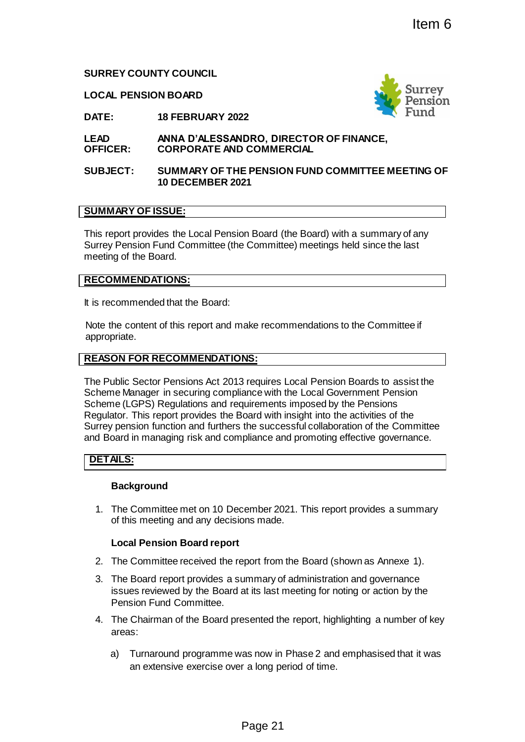**SURREY COUNTY COUNCIL**

**LOCAL PENSION BOARD**



**DATE: 18 FEBRUARY 2022**

#### **LEAD OFFICER: ANNA D'ALESSANDRO, DIRECTOR OF FINANCE, CORPORATE AND COMMERCIAL**

## **SUBJECT: SUMMARY OF THE PENSION FUND COMMITTEE MEETING OF 10 DECEMBER 2021**

# **SUMMARY OF ISSUE:**

This report provides the Local Pension Board (the Board) with a summary of any Surrey Pension Fund Committee (the Committee) meetings held since the last meeting of the Board.

## **RECOMMENDATIONS:**

It is recommended that the Board:

Note the content of this report and make recommendations to the Committee if appropriate.

## **REASON FOR RECOMMENDATIONS:**

The Public Sector Pensions Act 2013 requires Local Pension Boards to assist the Scheme Manager in securing compliance with the Local Government Pension Scheme (LGPS) Regulations and requirements imposed by the Pensions Regulator. This report provides the Board with insight into the activities of the Surrey pension function and furthers the successful collaboration of the Committee and Board in managing risk and compliance and promoting effective governance. Item 6<br>
Page 21<br>
Page 21<br>
Page 21<br>
Page 21<br>
Page 21<br>
Page 21<br>
Page 21<br>
Page 21<br>
Page 21<br>
Page 21<br>
Page 21<br>
Page 21<br>
Page 21<br>
Page 21<br>
Page 21<br>
Page 21<br>
Page 21<br>
Page 21<br>
Page 21<br>
Page 21<br>
Page 21<br>
Page 21<br>
Page 21<br>
Page 21

## **DETAILS:**

## **Background**

1. The Committee met on 10 December 2021. This report provides a summary of this meeting and any decisions made.

## **Local Pension Board report**

- 2. The Committee received the report from the Board (shown as Annexe 1).
- 3. The Board report provides a summary of administration and governance issues reviewed by the Board at its last meeting for noting or action by the Pension Fund Committee.
- 4. The Chairman of the Board presented the report, highlighting a number of key areas:
	- a) Turnaround programme was now in Phase 2 and emphasised that it was an extensive exercise over a long period of time.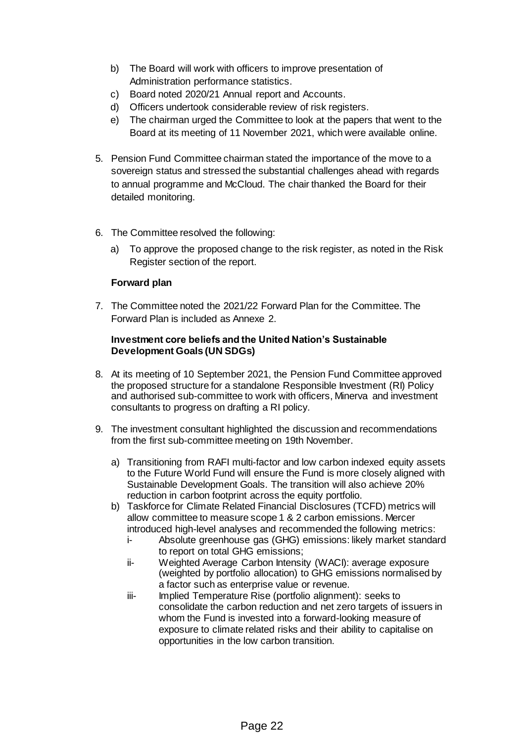- b) The Board will work with officers to improve presentation of Administration performance statistics.
- c) Board noted 2020/21 Annual report and Accounts.
- d) Officers undertook considerable review of risk registers.
- e) The chairman urged the Committee to look at the papers that went to the Board at its meeting of 11 November 2021, which were available online.
- 5. Pension Fund Committee chairman stated the importance of the move to a sovereign status and stressed the substantial challenges ahead with regards to annual programme and McCloud. The chair thanked the Board for their detailed monitoring.
- 6. The Committee resolved the following:
	- a) To approve the proposed change to the risk register, as noted in the Risk Register section of the report.

# **Forward plan**

7. The Committee noted the 2021/22 Forward Plan for the Committee. The Forward Plan is included as Annexe 2.

## **Investment core beliefs and the United Nation's Sustainable Development Goals (UN SDGs)**

- 8. At its meeting of 10 September 2021, the Pension Fund Committee approved the proposed structure for a standalone Responsible Investment (RI) Policy and authorised sub-committee to work with officers, Minerva and investment consultants to progress on drafting a RI policy.
- 9. The investment consultant highlighted the discussion and recommendations from the first sub-committee meeting on 19th November.
	- a) Transitioning from RAFI multi-factor and low carbon indexed equity assets to the Future World Fund will ensure the Fund is more closely aligned with Sustainable Development Goals. The transition will also achieve 20% reduction in carbon footprint across the equity portfolio.
	- b) Taskforce for Climate Related Financial Disclosures (TCFD) metrics will allow committee to measure scope 1 & 2 carbon emissions. Mercer introduced high-level analyses and recommended the following metrics:
		- i- Absolute greenhouse gas (GHG) emissions: likely market standard to report on total GHG emissions;
		- ii- Weighted Average Carbon Intensity (WACI): average exposure (weighted by portfolio allocation) to GHG emissions normalised by a factor such as enterprise value or revenue.
		- iii- Implied Temperature Rise (portfolio alignment): seeks to consolidate the carbon reduction and net zero targets of issuers in whom the Fund is invested into a forward-looking measure of exposure to climate related risks and their ability to capitalise on opportunities in the low carbon transition.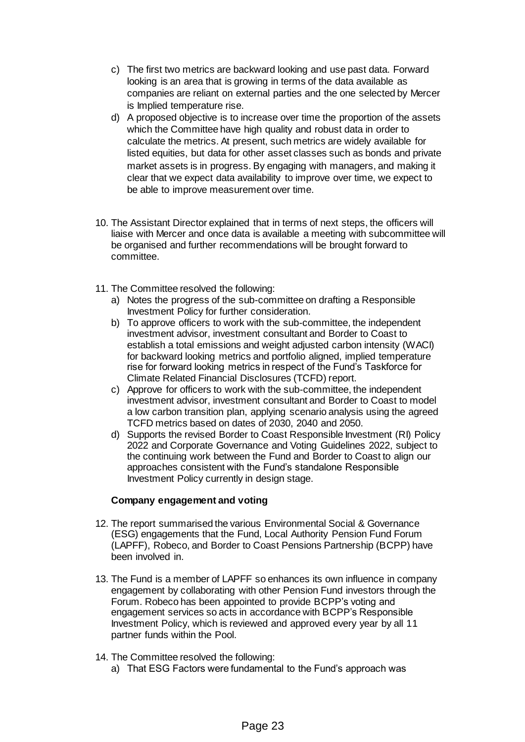- c) The first two metrics are backward looking and use past data. Forward looking is an area that is growing in terms of the data available as companies are reliant on external parties and the one selected by Mercer is Implied temperature rise.
- d) A proposed objective is to increase over time the proportion of the assets which the Committee have high quality and robust data in order to calculate the metrics. At present, such metrics are widely available for listed equities, but data for other asset classes such as bonds and private market assets is in progress. By engaging with managers, and making it clear that we expect data availability to improve over time, we expect to be able to improve measurement over time.
- 10. The Assistant Director explained that in terms of next steps, the officers will liaise with Mercer and once data is available a meeting with subcommittee will be organised and further recommendations will be brought forward to committee.
- 11. The Committee resolved the following:
	- a) Notes the progress of the sub-committee on drafting a Responsible Investment Policy for further consideration.
	- b) To approve officers to work with the sub-committee, the independent investment advisor, investment consultant and Border to Coast to establish a total emissions and weight adjusted carbon intensity (WACI) for backward looking metrics and portfolio aligned, implied temperature rise for forward looking metrics in respect of the Fund's Taskforce for Climate Related Financial Disclosures (TCFD) report.
	- c) Approve for officers to work with the sub-committee, the independent investment advisor, investment consultant and Border to Coast to model a low carbon transition plan, applying scenario analysis using the agreed TCFD metrics based on dates of 2030, 2040 and 2050.
	- d) Supports the revised Border to Coast Responsible Investment (RI) Policy 2022 and Corporate Governance and Voting Guidelines 2022, subject to the continuing work between the Fund and Border to Coast to align our approaches consistent with the Fund's standalone Responsible Investment Policy currently in design stage.

## **Company engagement and voting**

- 12. The report summarised the various Environmental Social & Governance (ESG) engagements that the Fund, Local Authority Pension Fund Forum (LAPFF), Robeco, and Border to Coast Pensions Partnership (BCPP) have been involved in.
- 13. The Fund is a member of LAPFF so enhances its own influence in company engagement by collaborating with other Pension Fund investors through the Forum. Robeco has been appointed to provide BCPP's voting and engagement services so acts in accordance with BCPP's Responsible Investment Policy, which is reviewed and approved every year by all 11 partner funds within the Pool.
- 14. The Committee resolved the following:
	- a) That ESG Factors were fundamental to the Fund's approach was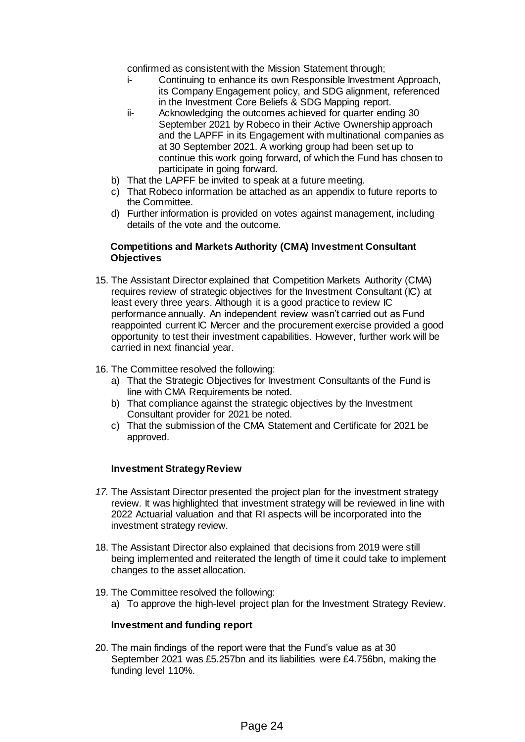confirmed as consistent with the Mission Statement through;

- i- Continuing to enhance its own Responsible Investment Approach, its Company Engagement policy, and SDG alignment, referenced in the Investment Core Beliefs & SDG Mapping report.
- ii- Acknowledging the outcomes achieved for quarter ending 30 September 2021 by Robeco in their Active Ownership approach and the LAPFF in its Engagement with multinational companies as at 30 September 2021. A working group had been set up to continue this work going forward, of which the Fund has chosen to participate in going forward.
- b) That the LAPFF be invited to speak at a future meeting.
- c) That Robeco information be attached as an appendix to future reports to the Committee.
- d) Further information is provided on votes against management, including details of the vote and the outcome.

## **Competitions and Markets Authority (CMA) Investment Consultant Objectives**

- 15. The Assistant Director explained that Competition Markets Authority (CMA) requires review of strategic objectives for the Investment Consultant (IC) at least every three years. Although it is a good practice to review IC performance annually. An independent review wasn't carried out as Fund reappointed current IC Mercer and the procurement exercise provided a good opportunity to test their investment capabilities. However, further work will be carried in next financial year.
- 16. The Committee resolved the following:
	- a) That the Strategic Objectives for Investment Consultants of the Fund is line with CMA Requirements be noted.
	- b) That compliance against the strategic objectives by the Investment Consultant provider for 2021 be noted.
	- c) That the submission of the CMA Statement and Certificate for 2021 be approved.

## **Investment Strategy Review**

- *17.* The Assistant Director presented the project plan for the investment strategy review. It was highlighted that investment strategy will be reviewed in line with 2022 Actuarial valuation and that RI aspects will be incorporated into the investment strategy review.
- 18. The Assistant Director also explained that decisions from 2019 were still being implemented and reiterated the length of time it could take to implement changes to the asset allocation.
- 19. The Committee resolved the following: a) To approve the high-level project plan for the Investment Strategy Review.

## **Investment and funding report**

20. The main findings of the report were that the Fund's value as at 30 September 2021 was £5.257bn and its liabilities were £4.756bn, making the funding level 110%.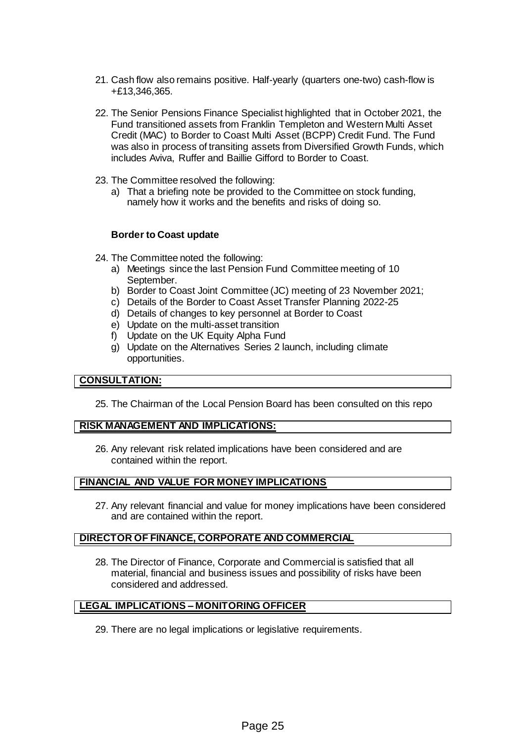- 21. Cash flow also remains positive. Half-yearly (quarters one-two) cash-flow is +£13,346,365.
- 22. The Senior Pensions Finance Specialist highlighted that in October 2021, the Fund transitioned assets from Franklin Templeton and Western Multi Asset Credit (MAC) to Border to Coast Multi Asset (BCPP) Credit Fund. The Fund was also in process of transiting assets from Diversified Growth Funds, which includes Aviva, Ruffer and Baillie Gifford to Border to Coast.
- 23. The Committee resolved the following:
	- a) That a briefing note be provided to the Committee on stock funding, namely how it works and the benefits and risks of doing so.

### **Border to Coast update**

- 24. The Committee noted the following:
	- a) Meetings since the last Pension Fund Committee meeting of 10 September.
	- b) Border to Coast Joint Committee (JC) meeting of 23 November 2021;
	- c) Details of the Border to Coast Asset Transfer Planning 2022-25
	- d) Details of changes to key personnel at Border to Coast
	- e) Update on the multi-asset transition
	- f) Update on the UK Equity Alpha Fund
	- g) Update on the Alternatives Series 2 launch, including climate opportunities.

## **CONSULTATION:**

25. The Chairman of the Local Pension Board has been consulted on this repo

#### **RISK MANAGEMENT AND IMPLICATIONS:**

26. Any relevant risk related implications have been considered and are contained within the report.

## **FINANCIAL AND VALUE FOR MONEY IMPLICATIONS**

27. Any relevant financial and value for money implications have been considered and are contained within the report.

## **DIRECTOR OF FINANCE, CORPORATE AND COMMERCIAL**

28. The Director of Finance, Corporate and Commercial is satisfied that all material, financial and business issues and possibility of risks have been considered and addressed.

## **LEGAL IMPLICATIONS – MONITORING OFFICER**

29. There are no legal implications or legislative requirements.